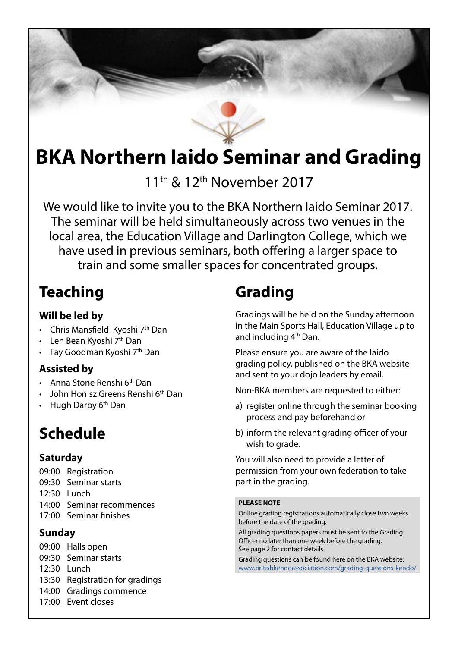# **BKA Northern Iaido Seminar and Grading**

11<sup>th</sup> & 12<sup>th</sup> November 2017

We would like to invite you to the BKA Northern Iaido Seminar 2017. The seminar will be held simultaneously across two venues in the local area, the Education Village and Darlington College, which we have used in previous seminars, both offering a larger space to train and some smaller spaces for concentrated groups.

# **Teaching**

### **Will be led by**

- Chris Mansfield Kyoshi  $7<sup>th</sup>$  Dan
- Len Bean Kyoshi 7<sup>th</sup> Dan
- Fay Goodman Kyoshi 7<sup>th</sup> Dan

### **Assisted by**

- Anna Stone Renshi 6<sup>th</sup> Dan
- John Honisz Greens Renshi 6<sup>th</sup> Dan
- $\cdot$  Hugh Darby  $6<sup>th</sup>$  Dan

# **Schedule**

### **Saturday**

09:00 Registration 09:30 Seminar starts 12:30 Lunch 14:00 Seminar recommences 17:00 Seminar finishes

### **Sunday**

- 09:00 Halls open 09:30 Seminar starts 12:30 Lunch 13:30 Registration for gradings 14:00 Gradings commence
- 17:00 Event closes

# **Grading**

Gradings will be held on the Sunday afternoon in the Main Sports Hall, Education Village up to and including 4th Dan.

Please ensure you are aware of the Iaido grading policy, published on the BKA website and sent to your dojo leaders by email.

Non-BKA members are requested to either:

- a) register online through the seminar booking process and pay beforehand or
- b) inform the relevant grading officer of your wish to grade.

You will also need to provide a letter of permission from your own federation to take part in the grading.

#### **PLEASE NOTE**

Online grading registrations automatically close two weeks before the date of the grading.

All grading questions papers must be sent to the Grading Officer no later than one week before the grading. See page 2 for contact details

Grading questions can be found here on the BKA website: [www.britishkendoassociation.com/grading-questions-kendo/](http://www.britishkendoassociation.com/grading-questions-kendo/)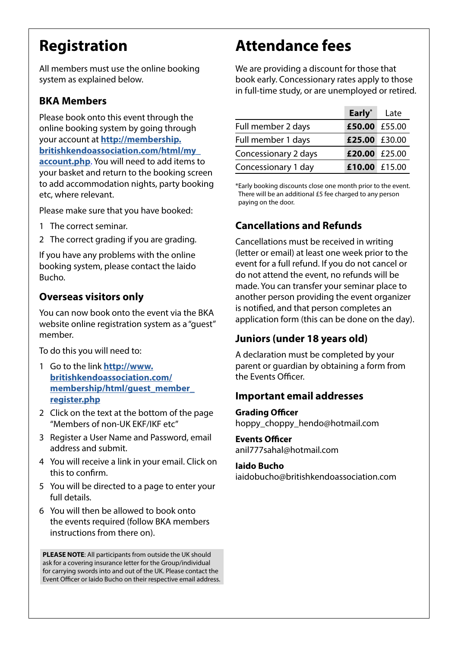# **Registration**

All members must use the online booking system as explained below.

### **BKA Members**

Please book onto this event through the online booking system by going through your account at **[http://membership.](http://membership.britishkendoassociation.com/html/my_account.php) [britishkendoassociation.com/html/my\\_](http://membership.britishkendoassociation.com/html/my_account.php) [account.php](http://membership.britishkendoassociation.com/html/my_account.php)**. You will need to add items to your basket and return to the booking screen to add accommodation nights, party booking etc, where relevant.

Please make sure that you have booked:

- 1 The correct seminar.
- 2 The correct grading if you are grading.

If you have any problems with the online booking system, please contact the Iaido Bucho.

#### **Overseas visitors only**

You can now book onto the event via the BKA website online registration system as a "guest" member.

To do this you will need to:

- 1 Go to the link **[http://www.](http://www.britishkendoassociation.com/membership/html/guest_member_register.php) [britishkendoassociation.com/](http://www.britishkendoassociation.com/membership/html/guest_member_register.php) [membership/html/guest\\_member\\_](http://www.britishkendoassociation.com/membership/html/guest_member_register.php) [register.php](http://www.britishkendoassociation.com/membership/html/guest_member_register.php)**
- 2 Click on the text at the bottom of the page "Members of non-UK EKF/IKF etc"
- 3 Register a User Name and Password, email address and submit.
- 4 You will receive a link in your email. Click on this to confirm.
- 5 You will be directed to a page to enter your full details.
- 6 You will then be allowed to book onto the events required (follow BKA members instructions from there on).

**PLEASE NOTE**: All participants from outside the UK should ask for a covering insurance letter for the Group/individual for carrying swords into and out of the UK. Please contact the Event Officer or Iaido Bucho on their respective email address.

## **Attendance fees**

We are providing a discount for those that book early. Concessionary rates apply to those in full-time study, or are unemployed or retired.

|                      | Early*        | Late |
|----------------------|---------------|------|
| Full member 2 days   | £50.00 £55.00 |      |
| Full member 1 days   | £25.00 £30.00 |      |
| Concessionary 2 days | £20.00 £25.00 |      |
| Concessionary 1 day  | £10.00 £15.00 |      |

\*Early booking discounts close one month prior to the event. There will be an additional £5 fee charged to any person paying on the door.

### **Cancellations and Refunds**

Cancellations must be received in writing (letter or email) at least one week prior to the event for a full refund. If you do not cancel or do not attend the event, no refunds will be made. You can transfer your seminar place to another person providing the event organizer is notified, and that person completes an application form (this can be done on the day).

### **Juniors (under 18 years old)**

A declaration must be completed by your parent or guardian by obtaining a form from the Events Officer.

#### **Important email addresses**

**Grading Officer** hoppy\_choppy\_hendo@hotmail.com

#### **Events Officer**

anil777sahal@hotmail.com

#### **Iaido Bucho**

iaidobucho@britishkendoassociation.com